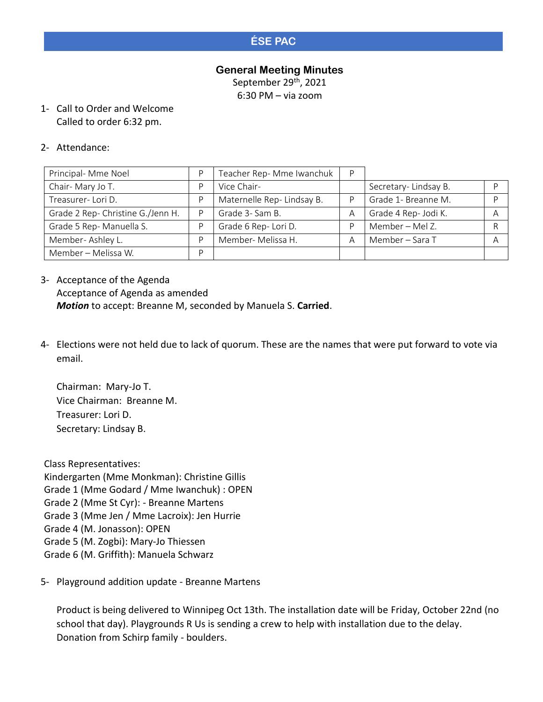# **ÉSE PAC**

#### **General Meeting Minutes**

September 29<sup>th</sup>, 2021

6:30 PM – via zoom

1- Call to Order and Welcome Called to order 6:32 pm.

#### 2- Attendance:

| Principal- Mme Noel               |   | Teacher Rep- Mme Iwanchuk | D  |                      |   |
|-----------------------------------|---|---------------------------|----|----------------------|---|
| Chair-Mary Jo T.                  |   | Vice Chair-               |    | Secretary-Lindsay B. |   |
| Treasurer-Lori D.                 |   | Maternelle Rep-Lindsay B. | D. | Grade 1- Breanne M.  |   |
| Grade 2 Rep- Christine G./Jenn H. | D | Grade 3- Sam B.           | A  | Grade 4 Rep- Jodi K. | A |
| Grade 5 Rep-Manuella S.           |   | Grade 6 Rep-Lori D.       | D  | Member – Mel Z.      |   |
| Member-Ashley L.                  |   | Member- Melissa H.        | A  | Member - Sara T      |   |
| Member - Melissa W.               |   |                           |    |                      |   |

- 3- Acceptance of the Agenda Acceptance of Agenda as amended *Motion* to accept: Breanne M, seconded by Manuela S. **Carried**.
- 4- Elections were not held due to lack of quorum. These are the names that were put forward to vote via email.

Chairman: Mary-Jo T. Vice Chairman: Breanne M. Treasurer: Lori D. Secretary: Lindsay B.

Class Representatives: Kindergarten (Mme Monkman): Christine Gillis Grade 1 (Mme Godard / Mme Iwanchuk) : OPEN Grade 2 (Mme St Cyr): - Breanne Martens Grade 3 (Mme Jen / Mme Lacroix): Jen Hurrie Grade 4 (M. Jonasson): OPEN Grade 5 (M. Zogbi): Mary-Jo Thiessen Grade 6 (M. Griffith): Manuela Schwarz

5- Playground addition update - Breanne Martens

Product is being delivered to Winnipeg Oct 13th. The installation date will be Friday, October 22nd (no school that day). Playgrounds R Us is sending a crew to help with installation due to the delay. Donation from Schirp family - boulders.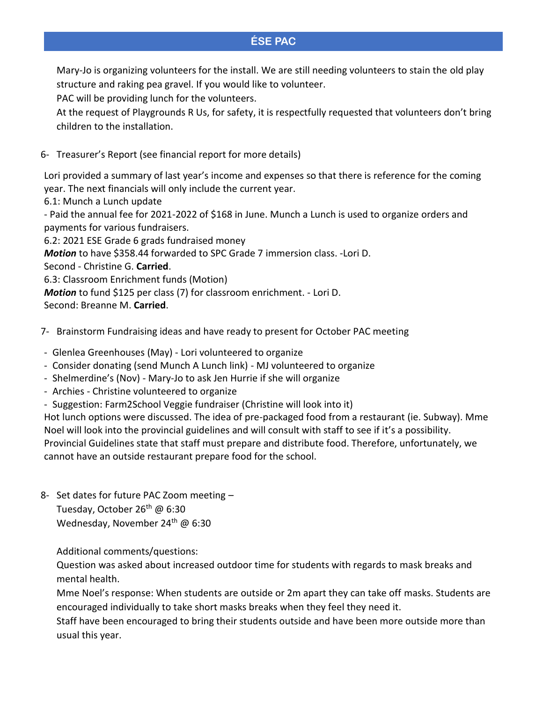### **ÉSE PAC**

Mary-Jo is organizing volunteers for the install. We are still needing volunteers to stain the old play structure and raking pea gravel. If you would like to volunteer.

PAC will be providing lunch for the volunteers.

At the request of Playgrounds R Us, for safety, it is respectfully requested that volunteers don't bring children to the installation.

6- Treasurer's Report (see financial report for more details)

Lori provided a summary of last year's income and expenses so that there is reference for the coming year. The next financials will only include the current year.

6.1: Munch a Lunch update

- Paid the annual fee for 2021-2022 of \$168 in June. Munch a Lunch is used to organize orders and payments for various fundraisers.

6.2: 2021 ESE Grade 6 grads fundraised money

*Motion* to have \$358.44 forwarded to SPC Grade 7 immersion class. -Lori D.

Second - Christine G. **Carried**.

6.3: Classroom Enrichment funds (Motion)

*Motion* to fund \$125 per class (7) for classroom enrichment. - Lori D.

Second: Breanne M. **Carried**.

- 7- Brainstorm Fundraising ideas and have ready to present for October PAC meeting
- Glenlea Greenhouses (May) Lori volunteered to organize
- Consider donating (send Munch A Lunch link) MJ volunteered to organize
- Shelmerdine's (Nov) Mary-Jo to ask Jen Hurrie if she will organize
- Archies Christine volunteered to organize
- Suggestion: Farm2School Veggie fundraiser (Christine will look into it)

Hot lunch options were discussed. The idea of pre-packaged food from a restaurant (ie. Subway). Mme Noel will look into the provincial guidelines and will consult with staff to see if it's a possibility. Provincial Guidelines state that staff must prepare and distribute food. Therefore, unfortunately, we cannot have an outside restaurant prepare food for the school.

8- Set dates for future PAC Zoom meeting – Tuesday, October 26<sup>th</sup> @ 6:30 Wednesday, November 24<sup>th</sup> @ 6:30

Additional comments/questions:

Question was asked about increased outdoor time for students with regards to mask breaks and mental health.

Mme Noel's response: When students are outside or 2m apart they can take off masks. Students are encouraged individually to take short masks breaks when they feel they need it.

Staff have been encouraged to bring their students outside and have been more outside more than usual this year.